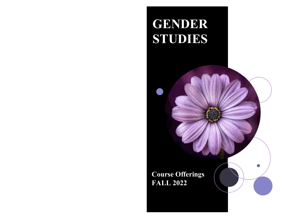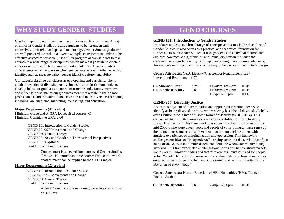# **WHY STUDY GENDER STUDIES**

Gender shapes the world we live in and informs each of our lives. A major or minor in Gender Studies prepares students to better understand themselves, their relationships, and our society. Gender Studies graduates are well prepared to work in a diverse workplace enviornment and/or to be effective advocates for social justice. Our program allows students to take courses in a wide range of disciplines, which makes it possible to create a major or minor that matches your individual interests. Gender Studies courses emphasize the ways in which gender interacts with other aspects of identity, such as race, sexuality, gender identity, culture, and ability.

Our students describe our classes as eye-opening and enriching. The indepth knowledge of diversity, equity, inclusion, and justice our students develop helps our graduates be more informed friends, family members, and citizens; it also makes our graduates more marketable in their chose professions. Gender Studies alums have pursued many diverse career paths, including law, medicine, marketing, counseling, and education.

#### **Major Requirements (40 credits)**

Minimum Grade and/or GPA for required courses: C Minimum Cumulative GPA: 2.00

> GEND 101 Introduction to Gender Studies GEND 201/278 Movements and Change GEND 380 Gender Theory GEND 381 Sex and Gender in Transnational Perspectives GEND 385 Capstone 5 additional 4 credit courses

> > Courses must be selected from approved Gender Studies electives. No more than three courses that count toward another major can be applied to the GEND major.

#### **Minor Requirements (20 credits)**

GEND 101 Introduction to Gender Studies GEND 201/278 Movements and Change GEND 380 Gender Theory 2 additional 4 credit courses

> At least 4 credits of the remaining 8 elective credits must be 300-level

# **GEND COURSES**

#### **GEND 101: Introduction to Gender Studies**

Introduces students to a broad range of concepts and issues in the discipline of Gender Studies. It also serves as a practical and theoretical foundation for further courses in Gender Studies. It uses gender as an analytical method and explores how race, class, ethnicity, and sexual orientation influence the construction of gender identity. Although containing these common elements, this course's main focus will vary according to the particular instructor's design.

**Course Attributes:** CSD: Identity (CI), Gender Requirement (GE), Intercultural Requirement (IC)

| Dr. Shannon Smith    | <b>MWF</b> | $11:50$ am- $12:45$ pm | HAB |
|----------------------|------------|------------------------|-----|
| Dr. Janelle Hinchley | TR.        | $11:30$ am- $12:50$ pm | HAB |
|                      |            | $1:05$ pm-2:25pm       | HAB |

#### **GEND 377A: Disability Justice**

Ableism is a system of discrimination and oppression targeting those who identify as being disabled, or those whom society has labeled disabled. Globally over 1 billion people live with some form of disability (WHO, 2014). This course will focus on the human experience of disability using a "Disability Justice Framework." This framework was created by disability activists in the mid-2000's who were queer, poor, and people of color trying to make sense of their experiences and create a movement that did not exclude others with multiple experiences of marginalization and oppression. This framework challenges our ideas of "independence" as being central to those who identify as being disabled, to that of "inter-dependent" with the whole community being involved. This framework also challenges our norms of what constitute "whole" bodies versus "broken" bodies and that "brokenness" must be fixed for people to live "whole" lives. In this course we deconstruct false and limited narratives on what it means to be disabled, and at the same time, act in solidarity for the liberation of every "body."

**Course Attributes:** Human Experience (HE), Humanities (HM), Thematic Focus – Justice

**Dr. Janelle Hinchley** TR 2:40pm-4:00pm HAB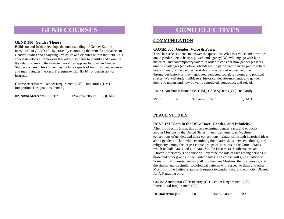#### **GEND 377B Indigenous and LGBTQ+ Allyship**

What roles do Two-Spirit and other Indigenous gender identities play in Native American communities? How did colonialism impact these identities and what steps are being taken to reclaim them? As we explore the similarities and distinctions between Indigenous and Western gender constructions, students in this course will understand the roots of Indigenous and LGBTQ+ allyships and the tools necessary to develop successful coalitions.

Course Attributes: Social World (SW), Thematic Focus: Justice

**Dr. Ted Gordon** TR 9:55am-11:15am HAB

#### **GEND 380: Gender Theory**

Builds on and further develops the understanding of Gender Studies introduced in GEND 101 by critically examining theoretical approaches to Gender Studies and analyzing key issues and disputes within the field. This course develops a framework that allows students to identify and examine the relations among the diverse theoretical approaches used in Gender Studies courses. This course may include aspects of feminist, gender queer, and men's studies theories. Prerequisite: GEND 101 or permission of instructor.

Course Attributes: Gender Requirement (GE), Humanities (HM), Integrations Designations Pending

| Dr. Anna Mercedes | TR | $12:45$ pm- $2:05$ pm | <b>QUAD</b> |
|-------------------|----|-----------------------|-------------|
|-------------------|----|-----------------------|-------------|

# **GEND COURSES GEND ELECTIVES**

# **COMMUNICATION**

### **COMM 305: Gender, Voice & Power**

This class asks students to answer the questions: What is a voice and how does one's gender dictate its use, power, and agency? We will engage with both historical and contemporary voices in order to consider how gender presents unique challenges (and offers advantages) to participation in the public sphere. We will analyze the persuasive styles of a variety of women and men throughout history as they negotiated gendered social, religious, and political spaces. We will study trailblazers, historical debates/moments, and gender theory to understand how power is negotiated, controlled, and seized. Course

Attributes: Humanities (HM), CSD: Systems (CS)

| Dr. Emily Paup | TR | $9:35$ am-10:55am | <b>QUAD</b> |
|----------------|----|-------------------|-------------|
|----------------|----|-------------------|-------------|

# **PEACE STUDIES**

### **PCST 123 Islam in the USA: Race, Gender, and Ethnicity**

After introducing Islam, this course examines gender, race, and ethnicity, among Muslims in the United States. It analyzes American Muslims' conceptions of gender, and those conceptions' relationships with historical ideas about gender in Islam while examining the relationships between ethnicity and religiosity among the largest ethnic groups of Muslims in the United States which include Arabs and non-Arab Middle Easterners, South Asians, and African Americans. The course will examine the role of race among persons in those and other groups in the United States. The course will give attention to Somalis in Minnesota, virtually all of whom are Muslims, their religiosity, and the similar and dissimilar sociological patterns with respect to them and other Muslims in the United States with respect to gender, race, and ethnicity. Offered for A-F grading only.

**Course Attributes:** CSD: Identity (CI), Gender Requirement (GE), Intercultural Requirement (IC)

**Dr. Jon Armajani** TR 8:20am-9:40am BAC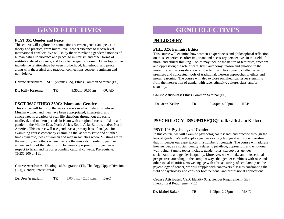# **GEND ELECTIVES**

### **PCST 351 Gender and Peace**

This course will explore the connections between gender and peace in theory and practice, from micro-level gender violence to macro-level international conflicts. We will study theories relating gendered notions of human nature to violence and peace, to militarism and other forms of institutionalized violence, and to violence against women. Other topics may include the relationships between motherhood, fatherhood, and peace, along with theoretical and practical connections between feminism and nonviolence.

| Course Attributes: CSD: Systems (CS), Ethics Common Seminar (ES) |  |  |  |  |  |
|------------------------------------------------------------------|--|--|--|--|--|
|------------------------------------------------------------------|--|--|--|--|--|

**Dr. Kelly Kraemer** TR 9:35am-10:55am QUAD

# **PSCT 368C/THEO 369C: Islam and Gender**

This course will focus on the various ways in which relations between Muslim women and men have been appropriated, interpreted, and concretized in a variety of real-life situations throughout the early, medieval, and modern periods in Islam with a regional focus on Islam and gender in the Middle East, North Africa, South Asia, Europe, and/or North America. This course will use gender as a primary lens of analysis for examining course content by examining the, at times static and at other times dynamic, roles of women and men in societies where Muslims are in the majority and others where they are the minority in order to gain an understanding of the relationship between appropriations of gender with respect to Islam and its corresponding cultural contexts. Prerequisite: THEO 100 or 111

**Course Attributes:** Theological Integration (TI), Theology Upper Division (TU), Gender, Intercultural

**Dr. Jon Armajani TR** 1:05 p.m. - 2:25 p.m. **BAC** 

# **GEND ELECTIVES**

# **PHILOSOPHY**

### **PHIL 325: Feminist Ethics**

This course will examine how women's experiences and philosophical reflection on those experiences offer important and necessary perspectives in the field of moral and ethical thinking. Topics may include the nature of feminism, freedom and oppression; the role of care, trust, autonomy, reason and emotion in the moral life, and a consideration of how feminism has come to challenge basic premises and conceptual tools of traditional, western approaches to ethics and moral reasoning. The course will also explore social/ethical issues stemming from the intersection of gender with race, ethnicity, culture, class, and/or sexuality.

**Course Attributes:** Ethics Common Seminar (ES)

| Dr. Jean Keller | TR. | $2:40$ pm-4:00pm | <b>HAB</b> |
|-----------------|-----|------------------|------------|
|-----------------|-----|------------------|------------|

# **PSYCHOLOGY'\*crrt gxcnit gpf lpi. talk with Jean Keller)**

### **PSYC 108 Psychology of Gender**

In this course, we will examine psychological research and practice through the lens of gender. We will explore gender as a psychological and social construct that influences our experiences in a number of contexts. The course will address how gender, as a social identity, relates to privilege, oppression, and emotional well-being. Sample topics include: gender roles, stereotypes, gender socialization, and gender inequality. Moreover, we will take an intersectional perspective, attending to the complex ways that gender combines with race and other social identities. As we engage with a broad survey of scholarship on the psychology of gender, we will grapple with controversial issues confronting the field of psychology and consider both personal and professional applications.

**Course Attributes:** CSD: Identity (CI), Gender Requirement (GE), Intercultural Requirement (IC)

**Dr. Mahel Baker** TR 1:05pm-2:25pm MAIN